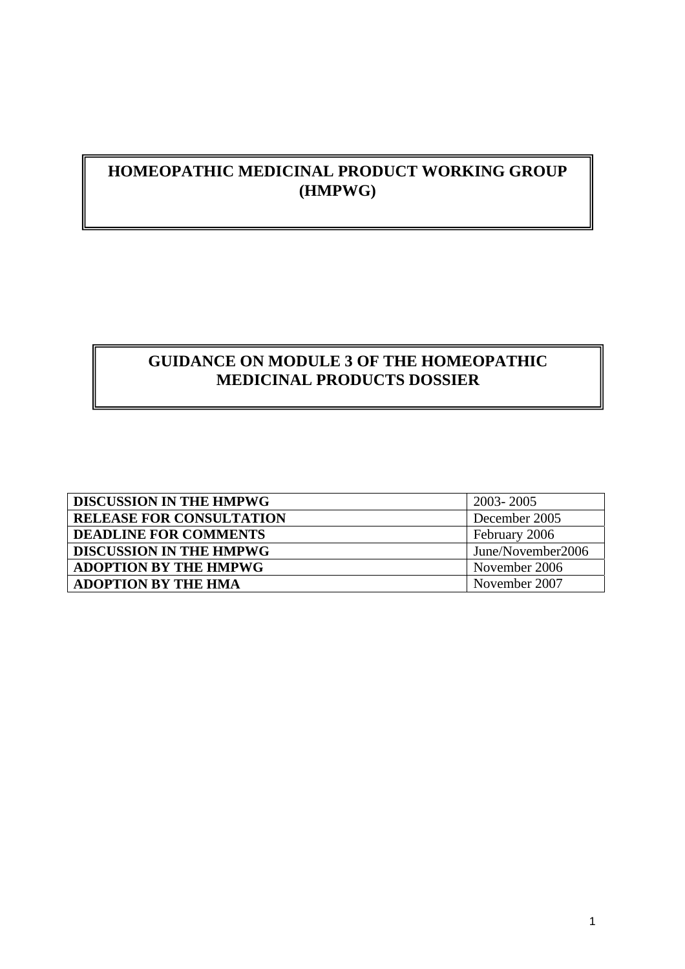# **HOMEOPATHIC MEDICINAL PRODUCT WORKING GROUP (HMPWG)**

# **GUIDANCE ON MODULE 3 OF THE HOMEOPATHIC MEDICINAL PRODUCTS DOSSIER**

| <b>DISCUSSION IN THE HMPWG</b>  | 2003-2005         |
|---------------------------------|-------------------|
| <b>RELEASE FOR CONSULTATION</b> | December 2005     |
| <b>DEADLINE FOR COMMENTS</b>    | February 2006     |
| <b>DISCUSSION IN THE HMPWG</b>  | June/November2006 |
| <b>ADOPTION BY THE HMPWG</b>    | November 2006     |
| <b>ADOPTION BY THE HMA</b>      | November 2007     |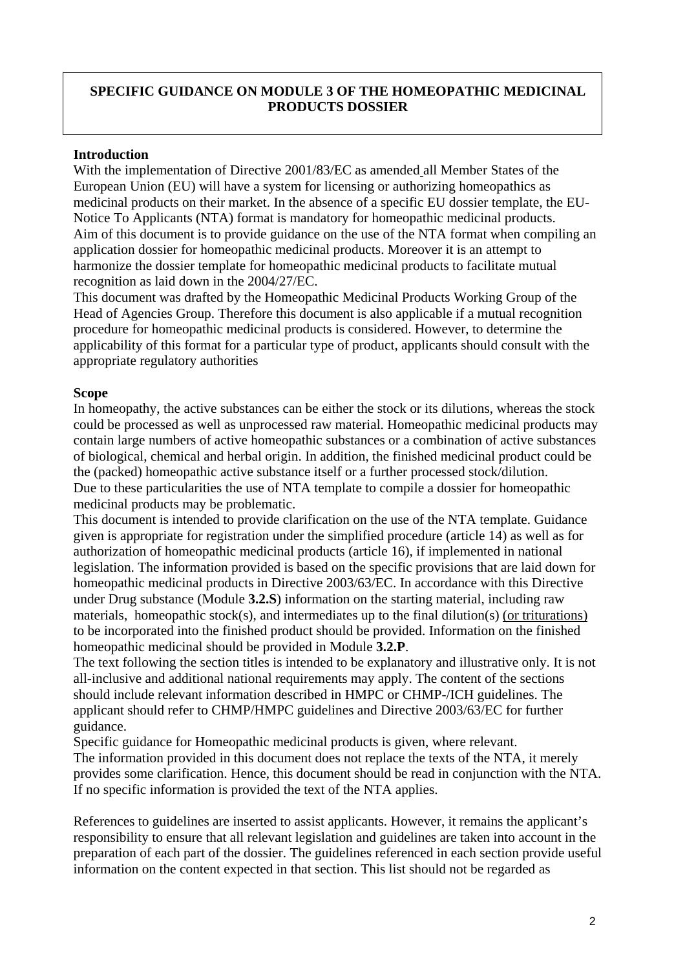# **SPECIFIC GUIDANCE ON MODULE 3 OF THE HOMEOPATHIC MEDICINAL PRODUCTS DOSSIER**

#### **Introduction**

With the implementation of Directive 2001/83/EC as amended all Member States of the European Union (EU) will have a system for licensing or authorizing homeopathics as medicinal products on their market. In the absence of a specific EU dossier template, the EU-Notice To Applicants (NTA) format is mandatory for homeopathic medicinal products. Aim of this document is to provide guidance on the use of the NTA format when compiling an application dossier for homeopathic medicinal products. Moreover it is an attempt to harmonize the dossier template for homeopathic medicinal products to facilitate mutual recognition as laid down in the 2004/27/EC.

This document was drafted by the Homeopathic Medicinal Products Working Group of the Head of Agencies Group. Therefore this document is also applicable if a mutual recognition procedure for homeopathic medicinal products is considered. However, to determine the applicability of this format for a particular type of product, applicants should consult with the appropriate regulatory authorities

#### **Scope**

In homeopathy, the active substances can be either the stock or its dilutions, whereas the stock could be processed as well as unprocessed raw material. Homeopathic medicinal products may contain large numbers of active homeopathic substances or a combination of active substances of biological, chemical and herbal origin. In addition, the finished medicinal product could be the (packed) homeopathic active substance itself or a further processed stock/dilution. Due to these particularities the use of NTA template to compile a dossier for homeopathic medicinal products may be problematic.

This document is intended to provide clarification on the use of the NTA template. Guidance given is appropriate for registration under the simplified procedure (article 14) as well as for authorization of homeopathic medicinal products (article 16), if implemented in national legislation. The information provided is based on the specific provisions that are laid down for homeopathic medicinal products in Directive 2003/63/EC. In accordance with this Directive under Drug substance (Module **3.2.S**) information on the starting material, including raw materials, homeopathic stock(s), and intermediates up to the final dilution(s) (or triturations) to be incorporated into the finished product should be provided. Information on the finished homeopathic medicinal should be provided in Module **3.2.P**.

The text following the section titles is intended to be explanatory and illustrative only. It is not all-inclusive and additional national requirements may apply. The content of the sections should include relevant information described in HMPC or CHMP-/ICH guidelines. The applicant should refer to CHMP/HMPC guidelines and Directive 2003/63/EC for further guidance.

Specific guidance for Homeopathic medicinal products is given, where relevant. The information provided in this document does not replace the texts of the NTA, it merely provides some clarification. Hence, this document should be read in conjunction with the NTA. If no specific information is provided the text of the NTA applies.

References to guidelines are inserted to assist applicants. However, it remains the applicant's responsibility to ensure that all relevant legislation and guidelines are taken into account in the preparation of each part of the dossier. The guidelines referenced in each section provide useful information on the content expected in that section. This list should not be regarded as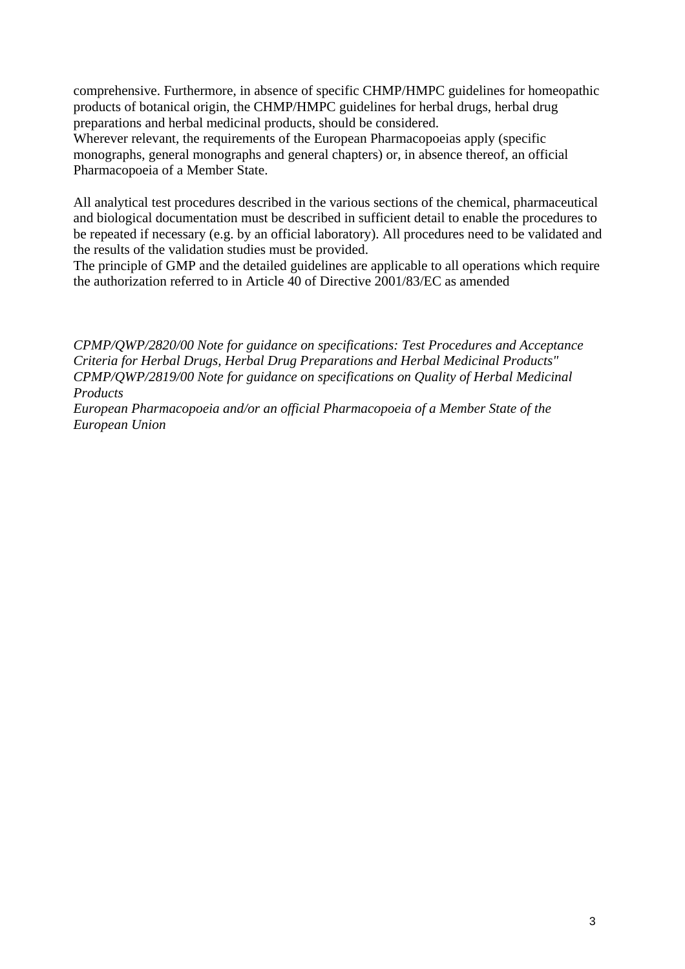comprehensive. Furthermore, in absence of specific CHMP/HMPC guidelines for homeopathic products of botanical origin, the CHMP/HMPC guidelines for herbal drugs, herbal drug preparations and herbal medicinal products, should be considered.

Wherever relevant, the requirements of the European Pharmacopoeias apply (specific monographs, general monographs and general chapters) or, in absence thereof, an official Pharmacopoeia of a Member State.

All analytical test procedures described in the various sections of the chemical, pharmaceutical and biological documentation must be described in sufficient detail to enable the procedures to be repeated if necessary (e.g. by an official laboratory). All procedures need to be validated and the results of the validation studies must be provided.

The principle of GMP and the detailed guidelines are applicable to all operations which require the authorization referred to in Article 40 of Directive 2001/83/EC as amended

*CPMP/QWP/2820/00 Note for guidance on specifications: Test Procedures and Acceptance Criteria for Herbal Drugs, Herbal Drug Preparations and Herbal Medicinal Products" CPMP/QWP/2819/00 Note for guidance on specifications on Quality of Herbal Medicinal Products* 

*European Pharmacopoeia and/or an official Pharmacopoeia of a Member State of the European Union*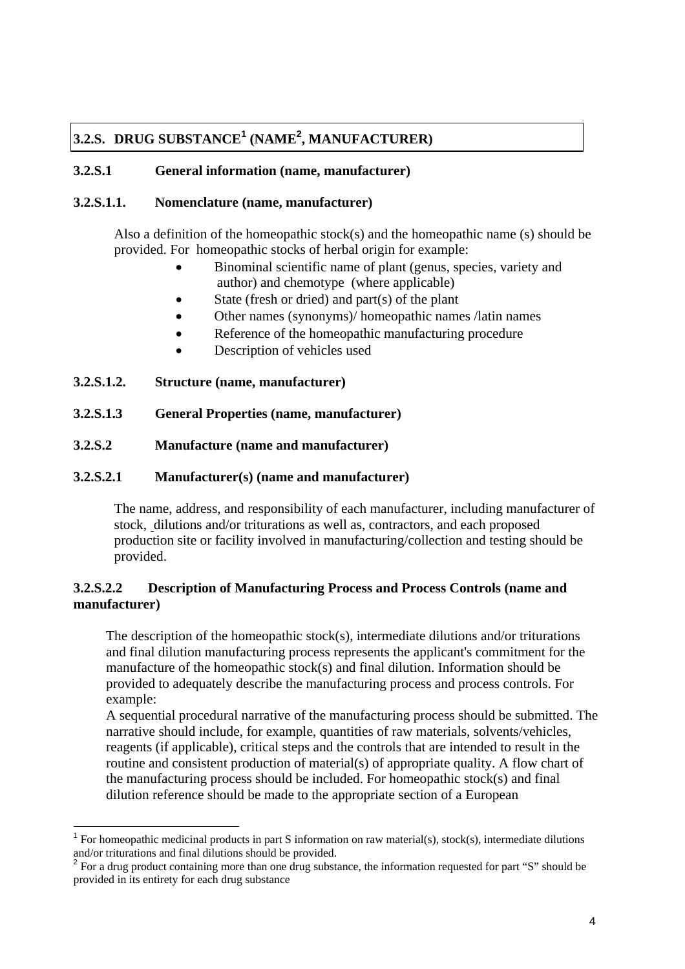# **3.2.S. DRUG SUBSTANCE[1](#page-3-0) (NAME[2](#page-3-1) , MANUFACTURER)**

# **3.2.S.1 General information (name, manufacturer)**

## **3.2.S.1.1. Nomenclature (name, manufacturer)**

Also a definition of the homeopathic stock(s) and the homeopathic name (s) should be provided. For homeopathic stocks of herbal origin for example:

- Binominal scientific name of plant (genus, species, variety and author) and chemotype (where applicable) •
- State (fresh or dried) and part(s) of the plant
- Other names (synonyms)/ homeopathic names /latin names
- Reference of the homeopathic manufacturing procedure
- Description of vehicles used
- **3.2.S.1.2. Structure (name, manufacturer)**

 $\overline{a}$ 

- **3.2.S.1.3 General Properties (name, manufacturer)**
- **3.2.S.2 Manufacture (name and manufacturer)**

## **3.2.S.2.1 Manufacturer(s) (name and manufacturer)**

The name, address, and responsibility of each manufacturer, including manufacturer of stock, dilutions and/or triturations as well as, contractors, and each proposed production site or facility involved in manufacturing/collection and testing should be provided.

# **3.2.S.2.2 Description of Manufacturing Process and Process Controls (name and manufacturer)**

The description of the homeopathic stock(s), intermediate dilutions and/or triturations and final dilution manufacturing process represents the applicant's commitment for the manufacture of the homeopathic stock(s) and final dilution. Information should be provided to adequately describe the manufacturing process and process controls. For example:

A sequential procedural narrative of the manufacturing process should be submitted. The narrative should include, for example, quantities of raw materials, solvents/vehicles, reagents (if applicable), critical steps and the controls that are intended to result in the routine and consistent production of material(s) of appropriate quality. A flow chart of the manufacturing process should be included. For homeopathic stock(s) and final dilution reference should be made to the appropriate section of a European

<span id="page-3-0"></span><sup>&</sup>lt;sup>1</sup> For homeopathic medicinal products in part S information on raw material(s), stock(s), intermediate dilutions and/or triturations and final dilutions should be provided. <sup>2</sup>

<span id="page-3-1"></span>For a drug product containing more than one drug substance, the information requested for part "S" should be provided in its entirety for each drug substance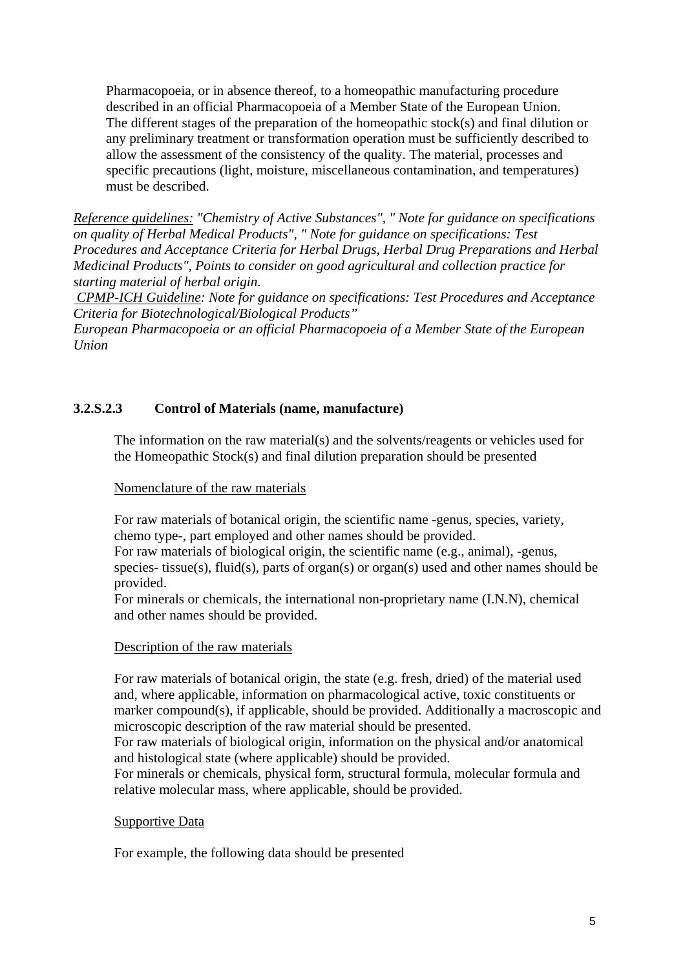Pharmacopoeia, or in absence thereof, to a homeopathic manufacturing procedure described in an official Pharmacopoeia of a Member State of the European Union. The different stages of the preparation of the homeopathic stock(s) and final dilution or any preliminary treatment or transformation operation must be sufficiently described to allow the assessment of the consistency of the quality. The material, processes and specific precautions (light, moisture, miscellaneous contamination, and temperatures) must be described.

*Reference guidelines: "Chemistry of Active Substances", " Note for guidance on specifications on quality of Herbal Medical Products", " Note for guidance on specifications: Test Procedures and Acceptance Criteria for Herbal Drugs, Herbal Drug Preparations and Herbal Medicinal Products", Points to consider on good agricultural and collection practice for starting material of herbal origin.* 

 *CPMP-ICH Guideline: Note for guidance on specifications: Test Procedures and Acceptance Criteria for Biotechnological/Biological Products"* 

*European Pharmacopoeia or an official Pharmacopoeia of a Member State of the European Union* 

# **3.2.S.2.3 Control of Materials (name, manufacture)**

The information on the raw material(s) and the solvents/reagents or vehicles used for the Homeopathic Stock(s) and final dilution preparation should be presented

#### Nomenclature of the raw materials

For raw materials of botanical origin, the scientific name -genus, species, variety, chemo type-, part employed and other names should be provided.

For raw materials of biological origin, the scientific name (e.g., animal), -genus, species- tissue(s), fluid(s), parts of organ(s) or organ(s) used and other names should be provided.

For minerals or chemicals, the international non-proprietary name (I.N.N), chemical and other names should be provided.

#### Description of the raw materials

For raw materials of botanical origin, the state (e.g. fresh, dried) of the material used and, where applicable, information on pharmacological active, toxic constituents or marker compound(s), if applicable, should be provided. Additionally a macroscopic and microscopic description of the raw material should be presented.

For raw materials of biological origin, information on the physical and/or anatomical and histological state (where applicable) should be provided.

For minerals or chemicals, physical form, structural formula, molecular formula and relative molecular mass, where applicable, should be provided.

#### Supportive Data

For example, the following data should be presented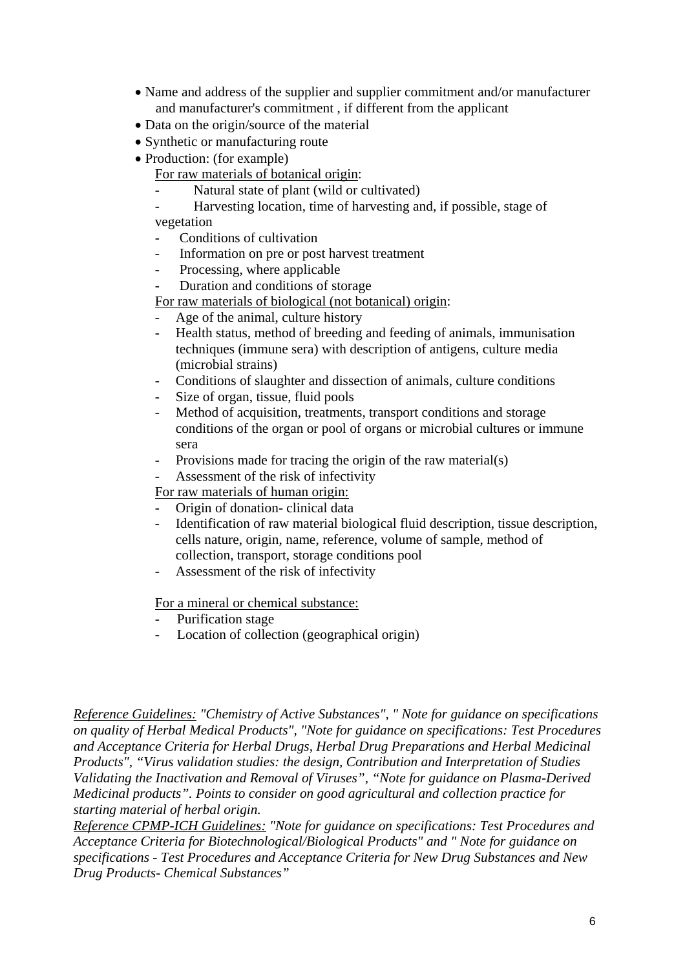- Name and address of the supplier and supplier commitment and/or manufacturer and manufacturer's commitment , if different from the applicant
- Data on the origin/source of the material
- Synthetic or manufacturing route
- Production: (for example)
	- For raw materials of botanical origin:
		- Natural state of plant (wild or cultivated)
	- Harvesting location, time of harvesting and, if possible, stage of vegetation
	- Conditions of cultivation
	- Information on pre or post harvest treatment
	- Processing, where applicable
	- Duration and conditions of storage
	- For raw materials of biological (not botanical) origin:
	- Age of the animal, culture history
	- Health status, method of breeding and feeding of animals, immunisation techniques (immune sera) with description of antigens, culture media (microbial strains)
	- Conditions of slaughter and dissection of animals, culture conditions
	- Size of organ, tissue, fluid pools
	- Method of acquisition, treatments, transport conditions and storage conditions of the organ or pool of organs or microbial cultures or immune sera
	- Provisions made for tracing the origin of the raw material(s)
	- Assessment of the risk of infectivity

For raw materials of human origin:

- Origin of donation- clinical data
- Identification of raw material biological fluid description, tissue description, cells nature, origin, name, reference, volume of sample, method of collection, transport, storage conditions pool
- Assessment of the risk of infectivity

For a mineral or chemical substance:

- Purification stage
- Location of collection (geographical origin)

*Reference Guidelines: "Chemistry of Active Substances", " Note for guidance on specifications on quality of Herbal Medical Products", "Note for guidance on specifications: Test Procedures and Acceptance Criteria for Herbal Drugs, Herbal Drug Preparations and Herbal Medicinal Products", "Virus validation studies: the design, Contribution and Interpretation of Studies Validating the Inactivation and Removal of Viruses", "Note for guidance on Plasma-Derived Medicinal products". Points to consider on good agricultural and collection practice for starting material of herbal origin.* 

*Reference CPMP-ICH Guidelines: "Note for guidance on specifications: Test Procedures and Acceptance Criteria for Biotechnological/Biological Products" and " Note for guidance on specifications - Test Procedures and Acceptance Criteria for New Drug Substances and New Drug Products- Chemical Substances"*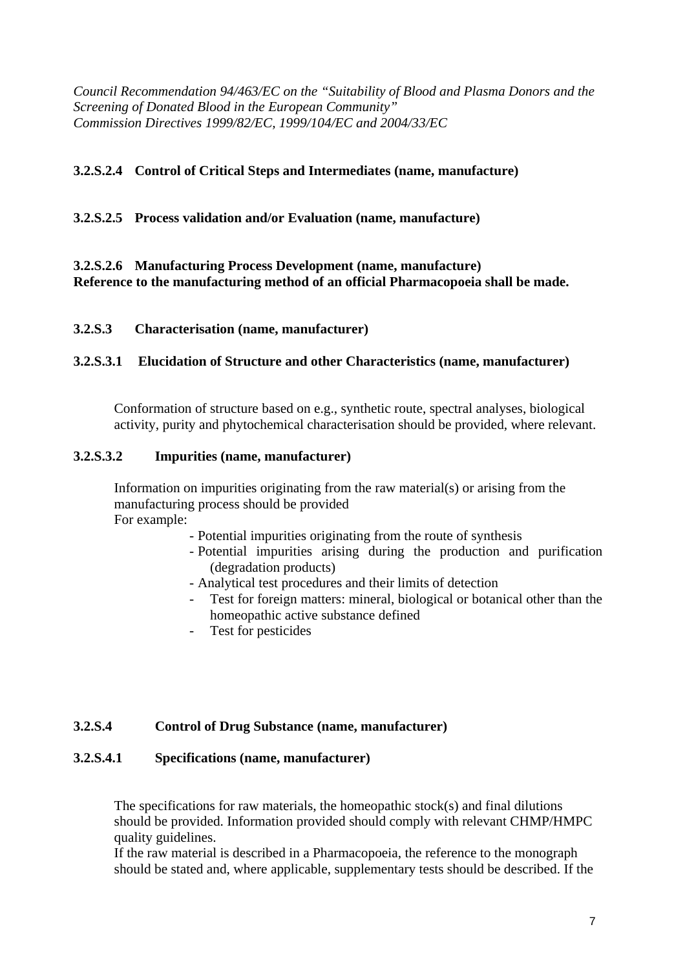*Council Recommendation 94/463/EC on the "Suitability of Blood and Plasma Donors and the Screening of Donated Blood in the European Community" Commission Directives 1999/82/EC, 1999/104/EC and 2004/33/EC* 

# **3.2.S.2.4 Control of Critical Steps and Intermediates (name, manufacture)**

# **3.2.S.2.5 Process validation and/or Evaluation (name, manufacture)**

# **3.2.S.2.6 Manufacturing Process Development (name, manufacture) Reference to the manufacturing method of an official Pharmacopoeia shall be made.**

#### **3.2.S.3 Characterisation (name, manufacturer)**

#### **3.2.S.3.1 Elucidation of Structure and other Characteristics (name, manufacturer)**

Conformation of structure based on e.g., synthetic route, spectral analyses, biological activity, purity and phytochemical characterisation should be provided, where relevant.

#### **3.2.S.3.2 Impurities (name, manufacturer)**

Information on impurities originating from the raw material(s) or arising from the manufacturing process should be provided For example:

- Potential impurities originating from the route of synthesis
- Potential impurities arising during the production and purification (degradation products)
- Analytical test procedures and their limits of detection
- Test for foreign matters: mineral, biological or botanical other than the homeopathic active substance defined
- Test for pesticides

#### **3.2.S.4 Control of Drug Substance (name, manufacturer)**

#### **3.2.S.4.1 Specifications (name, manufacturer)**

The specifications for raw materials, the homeopathic stock(s) and final dilutions should be provided. Information provided should comply with relevant CHMP/HMPC quality guidelines.

If the raw material is described in a Pharmacopoeia, the reference to the monograph should be stated and, where applicable, supplementary tests should be described. If the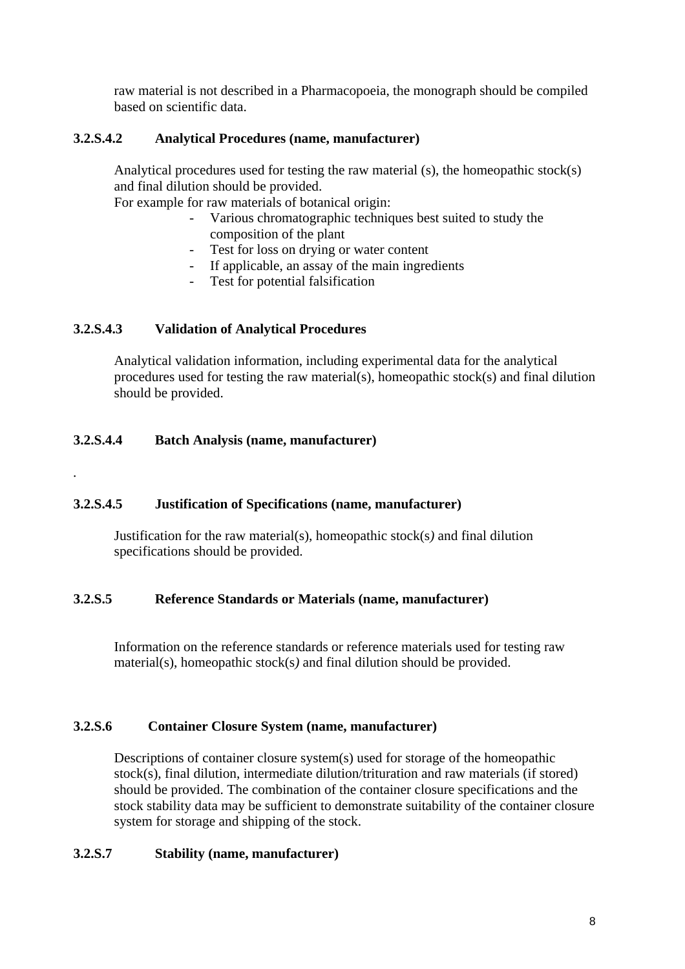raw material is not described in a Pharmacopoeia, the monograph should be compiled based on scientific data.

# **3.2.S.4.2 Analytical Procedures (name, manufacturer)**

Analytical procedures used for testing the raw material (s), the homeopathic stock(s) and final dilution should be provided.

For example for raw materials of botanical origin:

- Various chromatographic techniques best suited to study the composition of the plant
- Test for loss on drying or water content
- If applicable, an assay of the main ingredients
- Test for potential falsification

# **3.2.S.4.3 Validation of Analytical Procedures**

Analytical validation information, including experimental data for the analytical procedures used for testing the raw material(s), homeopathic stock(s) and final dilution should be provided.

#### **3.2.S.4.4 Batch Analysis (name, manufacturer)**

*.* 

#### **3.2.S.4.5 Justification of Specifications (name, manufacturer)**

Justification for the raw material(s), homeopathic stock(s*)* and final dilution specifications should be provided.

#### **3.2.S.5 Reference Standards or Materials (name, manufacturer)**

Information on the reference standards or reference materials used for testing raw material(s), homeopathic stock(s*)* and final dilution should be provided.

#### **3.2.S.6 Container Closure System (name, manufacturer)**

Descriptions of container closure system(s) used for storage of the homeopathic stock(s), final dilution, intermediate dilution/trituration and raw materials (if stored) should be provided. The combination of the container closure specifications and the stock stability data may be sufficient to demonstrate suitability of the container closure system for storage and shipping of the stock.

#### **3.2.S.7 Stability (name, manufacturer)**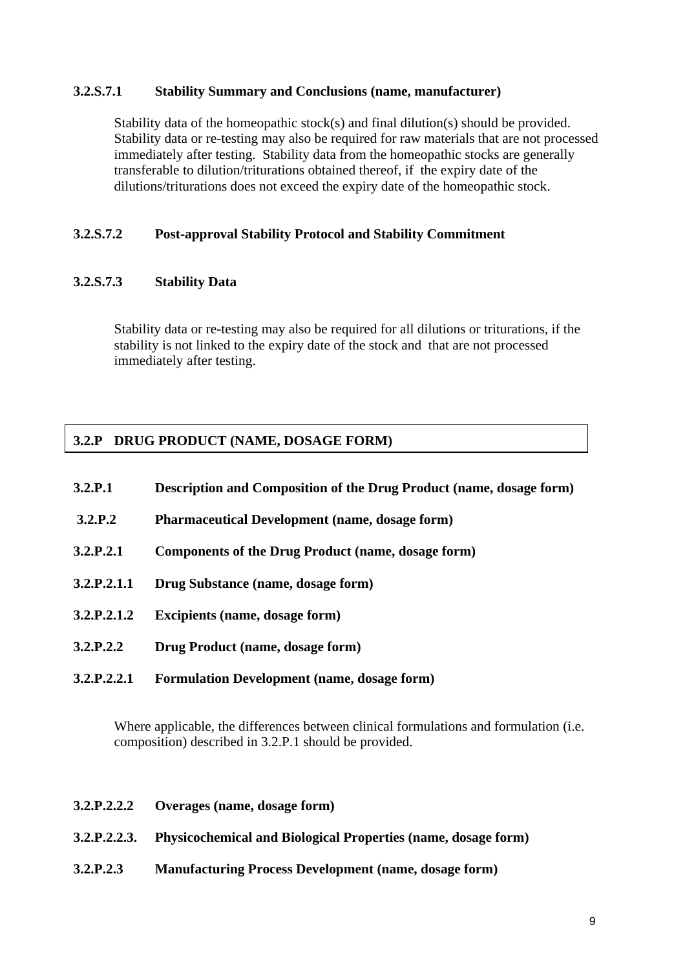#### **3.2.S.7.1 Stability Summary and Conclusions (name, manufacturer)**

Stability data of the homeopathic stock(s) and final dilution(s) should be provided. Stability data or re-testing may also be required for raw materials that are not processed immediately after testing. Stability data from the homeopathic stocks are generally transferable to dilution/triturations obtained thereof, if the expiry date of the dilutions/triturations does not exceed the expiry date of the homeopathic stock.

# **3.2.S.7.2 Post-approval Stability Protocol and Stability Commitment**

#### **3.2.S.7.3 Stability Data**

Stability data or re-testing may also be required for all dilutions or triturations, if the stability is not linked to the expiry date of the stock and that are not processed immediately after testing.

# **3.2.P DRUG PRODUCT (NAME, DOSAGE FORM)**

| 3.2.P.1     | <b>Description and Composition of the Drug Product (name, dosage form)</b> |
|-------------|----------------------------------------------------------------------------|
| 3.2.P.2     | <b>Pharmaceutical Development (name, dosage form)</b>                      |
| 3.2.P.2.1   | Components of the Drug Product (name, dosage form)                         |
| 3.2.P.2.1.1 | Drug Substance (name, dosage form)                                         |
| 3.2.P.2.1.2 | <b>Excipients (name, dosage form)</b>                                      |
| 3.2.P.2.2   | Drug Product (name, dosage form)                                           |
| 3.2.P.2.2.1 | <b>Formulation Development (name, dosage form)</b>                         |

Where applicable, the differences between clinical formulations and formulation (i.e. composition) described in 3.2.P.1 should be provided.

- **3.2.P.2.2.2 Overages (name, dosage form)**
- **3.2.P.2.2.3. Physicochemical and Biological Properties (name, dosage form)**
- **3.2.P.2.3 Manufacturing Process Development (name, dosage form)**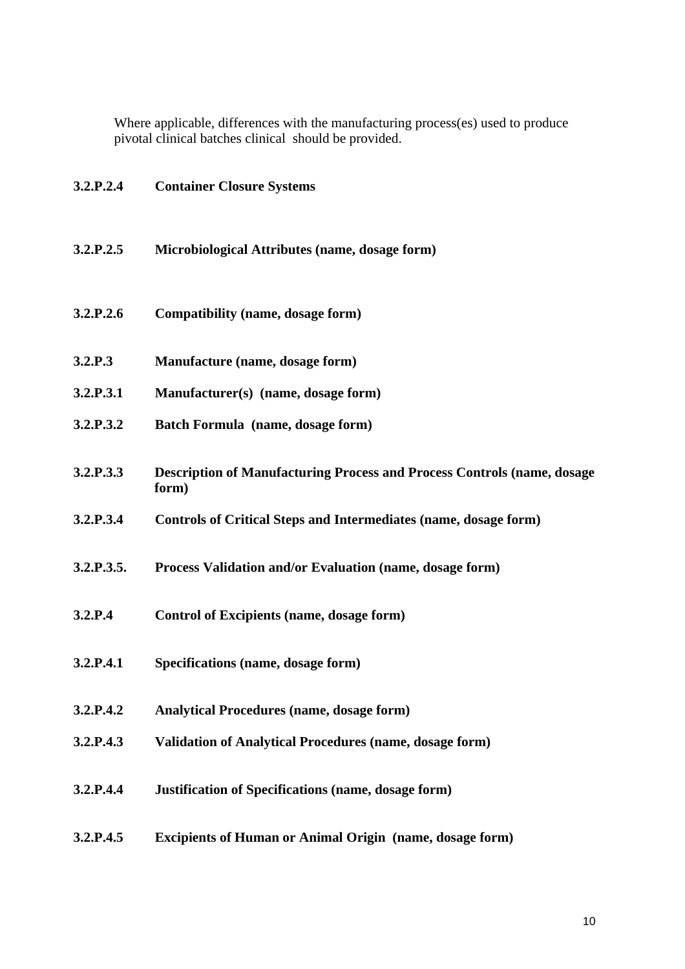Where applicable, differences with the manufacturing process(es) used to produce pivotal clinical batches clinical should be provided.

| 3.2.P.2.4  | <b>Container Closure Systems</b>                                                         |
|------------|------------------------------------------------------------------------------------------|
| 3.2.P.2.5  | Microbiological Attributes (name, dosage form)                                           |
| 3.2.P.2.6  | Compatibility (name, dosage form)                                                        |
| 3.2.P.3    | Manufacture (name, dosage form)                                                          |
| 3.2.P.3.1  | Manufacturer(s) (name, dosage form)                                                      |
| 3.2.P.3.2  | Batch Formula (name, dosage form)                                                        |
| 3.2.P.3.3  | <b>Description of Manufacturing Process and Process Controls (name, dosage)</b><br>form) |
| 3.2.P.3.4  | <b>Controls of Critical Steps and Intermediates (name, dosage form)</b>                  |
| 3.2.P.3.5. | Process Validation and/or Evaluation (name, dosage form)                                 |
| 3.2.P.4    | <b>Control of Excipients (name, dosage form)</b>                                         |
| 3.2.P.4.1  | Specifications (name, dosage form)                                                       |
| 3.2.P.4.2  | <b>Analytical Procedures (name, dosage form)</b>                                         |
| 3.2.P.4.3  | <b>Validation of Analytical Procedures (name, dosage form)</b>                           |
| 3.2.P.4.4  | <b>Justification of Specifications (name, dosage form)</b>                               |
| 3.2.P.4.5  | <b>Excipients of Human or Animal Origin (name, dosage form)</b>                          |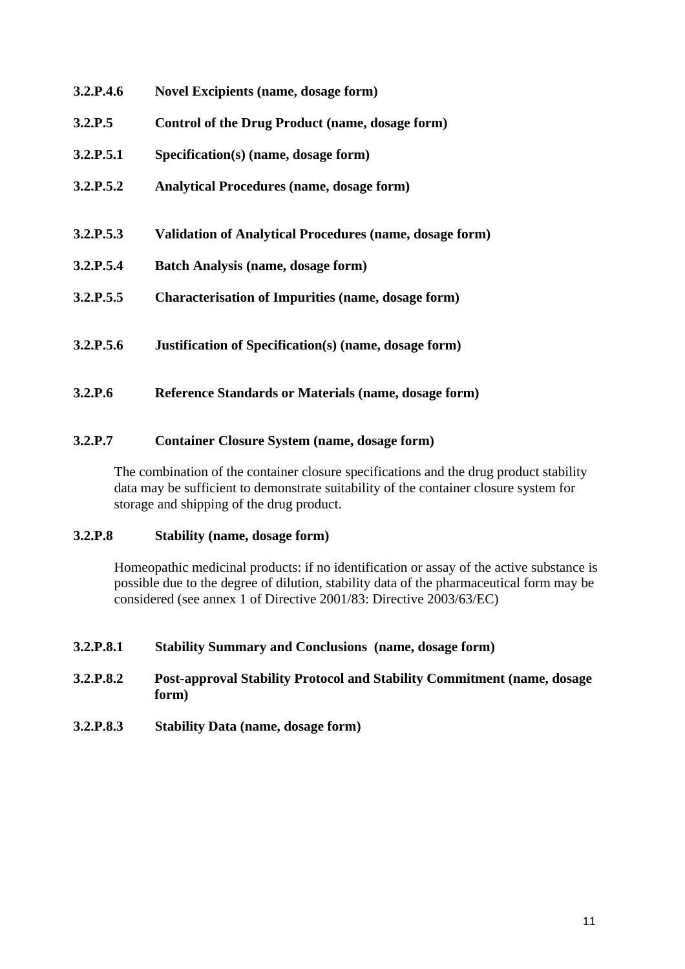| 3.2.P.4.6 | <b>Novel Excipients (name, dosage form)</b>                    |
|-----------|----------------------------------------------------------------|
| 3.2.P.5   | Control of the Drug Product (name, dosage form)                |
| 3.2.P.5.1 | Specification(s) (name, dosage form)                           |
| 3.2.P.5.2 | <b>Analytical Procedures (name, dosage form)</b>               |
|           |                                                                |
| 3.2.P.5.3 | <b>Validation of Analytical Procedures (name, dosage form)</b> |
| 3.2.P.5.4 | <b>Batch Analysis (name, dosage form)</b>                      |
| 3.2.P.5.5 | <b>Characterisation of Impurities (name, dosage form)</b>      |
|           |                                                                |
| 3.2.P.5.6 | <b>Justification of Specification(s) (name, dosage form)</b>   |
|           |                                                                |
| 3.2.P.6   | Reference Standards or Materials (name, dosage form)           |

# **3.2.P.7 Container Closure System (name, dosage form)**

The combination of the container closure specifications and the drug product stability data may be sufficient to demonstrate suitability of the container closure system for storage and shipping of the drug product.

# **3.2.P.8 Stability (name, dosage form)**

Homeopathic medicinal products: if no identification or assay of the active substance is possible due to the degree of dilution, stability data of the pharmaceutical form may be considered (see annex 1 of Directive 2001/83: Directive 2003/63/EC)

# **3.2.P.8.1 Stability Summary and Conclusions (name, dosage form)**

#### **3.2.P.8.2 Post-approval Stability Protocol and Stability Commitment (name, dosage form)**

**3.2.P.8.3 Stability Data (name, dosage form)**